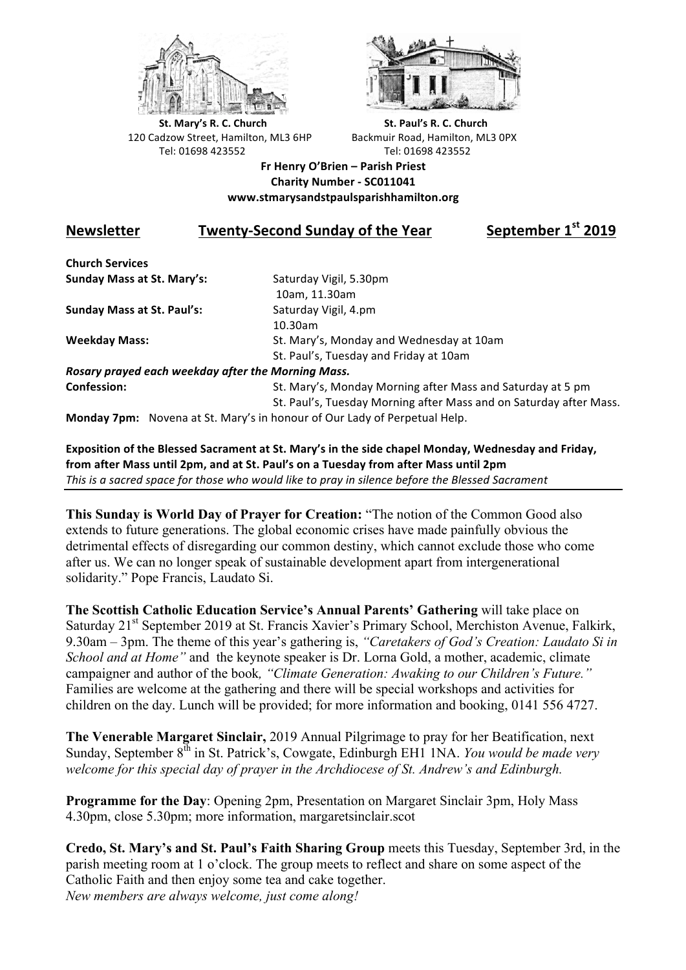



**St.** Mary's R. C. Church St. Paul's R. C. Church 120 Cadzow Street, Hamilton, ML3 6HP Backmuir Road, Hamilton, ML3 0PX Tel: 01698 423552 Tel: 01698 423552

**Fr Henry O'Brien – Parish Priest Charity Number - SC011041 www.stmarysandstpaulsparishhamilton.org**

## **Newsletter Twenty-Second Sunday of the Year** September 1<sup>st</sup> 2019

**Church Services Sunday Mass at St. Mary's:** Saturday Vigil, 5.30pm

**Sunday Mass at St. Paul's:** Saturday Vigil, 4.pm

 10am, 11.30am 10.30am **Weekday Mass:** St. Mary's, Monday and Wednesday at 10am St. Paul's, Tuesday and Friday at 10am

*Rosary prayed each weekday after the Morning Mass.* **Confession:** St. Mary's, Monday Morning after Mass and Saturday at 5 pm

St. Paul's, Tuesday Morning after Mass and on Saturday after Mass.

**Monday 7pm:** Novena at St. Mary's in honour of Our Lady of Perpetual Help.

Exposition of the Blessed Sacrament at St. Mary's in the side chapel Monday, Wednesday and Friday, from after Mass until 2pm, and at St. Paul's on a Tuesday from after Mass until 2pm This is a sacred space for those who would like to pray in silence before the Blessed Sacrament

**This Sunday is World Day of Prayer for Creation:** "The notion of the Common Good also extends to future generations. The global economic crises have made painfully obvious the detrimental effects of disregarding our common destiny, which cannot exclude those who come after us. We can no longer speak of sustainable development apart from intergenerational solidarity." Pope Francis, Laudato Si.

**The Scottish Catholic Education Service's Annual Parents' Gathering** will take place on Saturday 21<sup>st</sup> September 2019 at St. Francis Xavier's Primary School, Merchiston Avenue, Falkirk, 9.30am – 3pm. The theme of this year's gathering is, *"Caretakers of God's Creation: Laudato Si in School and at Home"* and the keynote speaker is Dr. Lorna Gold, a mother, academic, climate campaigner and author of the book*, "Climate Generation: Awaking to our Children's Future."* Families are welcome at the gathering and there will be special workshops and activities for children on the day. Lunch will be provided; for more information and booking, 0141 556 4727.

**The Venerable Margaret Sinclair,** 2019 Annual Pilgrimage to pray for her Beatification, next Sunday, September 8<sup>th</sup> in St. Patrick's, Cowgate, Edinburgh EH1 1NA. *You would be made very welcome for this special day of prayer in the Archdiocese of St. Andrew's and Edinburgh.*

**Programme for the Day**: Opening 2pm, Presentation on Margaret Sinclair 3pm, Holy Mass 4.30pm, close 5.30pm; more information, margaretsinclair.scot

**Credo, St. Mary's and St. Paul's Faith Sharing Group** meets this Tuesday, September 3rd, in the parish meeting room at 1 o'clock. The group meets to reflect and share on some aspect of the Catholic Faith and then enjoy some tea and cake together. *New members are always welcome, just come along!*